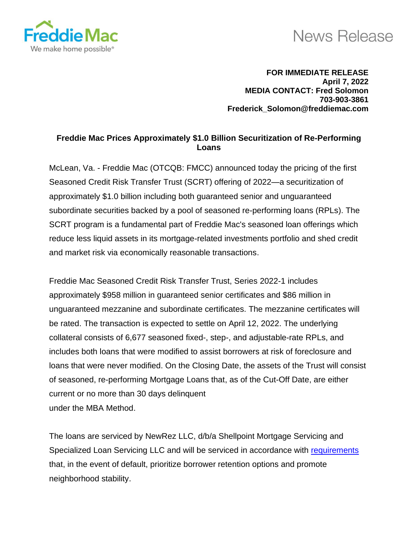

## **News Release**

**FOR IMMEDIATE RELEASE April 7, 2022 MEDIA CONTACT: Fred Solomon 703-903-3861 Frederick\_Solomon@freddiemac.com**

## **Freddie Mac Prices Approximately \$1.0 Billion Securitization of Re-Performing Loans**

McLean, Va. - Freddie Mac (OTCQB: FMCC) announced today the pricing of the first Seasoned Credit Risk Transfer Trust (SCRT) offering of 2022—a securitization of approximately \$1.0 billion including both guaranteed senior and unguaranteed subordinate securities backed by a pool of seasoned re-performing loans (RPLs). The SCRT program is a fundamental part of Freddie Mac's seasoned loan offerings which reduce less liquid assets in its mortgage-related investments portfolio and shed credit and market risk via economically reasonable transactions.

Freddie Mac Seasoned Credit Risk Transfer Trust, Series 2022-1 includes approximately \$958 million in guaranteed senior certificates and \$86 million in unguaranteed mezzanine and subordinate certificates. The mezzanine certificates will be rated. The transaction is expected to settle on April 12, 2022. The underlying collateral consists of 6,677 seasoned fixed-, step-, and adjustable-rate RPLs, and includes both loans that were modified to assist borrowers at risk of foreclosure and loans that were never modified. On the Closing Date, the assets of the Trust will consist of seasoned, re-performing Mortgage Loans that, as of the Cut-Off Date, are either current or no more than 30 days delinquent under the MBA Method.

The loans are serviced by NewRez LLC, d/b/a Shellpoint Mortgage Servicing and Specialized Loan Servicing LLC and will be serviced in accordance with [requirements](https://www.fhfa.gov/Media/PublicAffairs/PublicAffairsDocuments/NPL-RPL_FACT-SHEET-May2021.pdf) that, in the event of default, prioritize borrower retention options and promote neighborhood stability.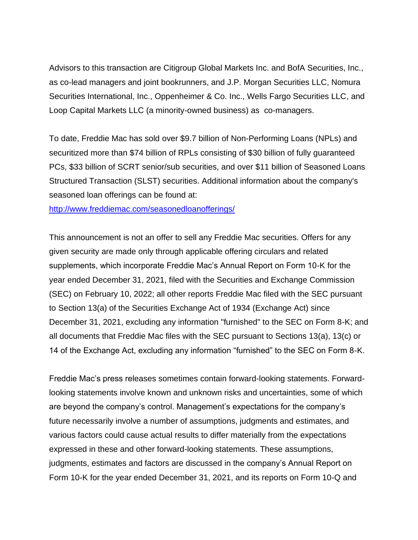Advisors to this transaction are Citigroup Global Markets Inc. and BofA Securities, Inc., as co-lead managers and joint bookrunners, and J.P. Morgan Securities LLC, Nomura Securities International, Inc., Oppenheimer & Co. Inc., Wells Fargo Securities LLC, and Loop Capital Markets LLC (a minority-owned business) as co-managers.

To date, Freddie Mac has sold over \$9.7 billion of Non-Performing Loans (NPLs) and securitized more than \$74 billion of RPLs consisting of \$30 billion of fully guaranteed PCs, \$33 billion of SCRT senior/sub securities, and over \$11 billion of Seasoned Loans Structured Transaction (SLST) securities. Additional information about the company's seasoned loan offerings can be found at:

<http://www.freddiemac.com/seasonedloanofferings/>

This announcement is not an offer to sell any Freddie Mac securities. Offers for any given security are made only through applicable offering circulars and related supplements, which incorporate Freddie Mac's Annual Report on Form 10-K for the year ended December 31, 2021, filed with the Securities and Exchange Commission (SEC) on February 10, 2022; all other reports Freddie Mac filed with the SEC pursuant to Section 13(a) of the Securities Exchange Act of 1934 (Exchange Act) since December 31, 2021, excluding any information "furnished" to the SEC on Form 8-K; and all documents that Freddie Mac files with the SEC pursuant to Sections 13(a), 13(c) or 14 of the Exchange Act, excluding any information "furnished" to the SEC on Form 8-K.

Freddie Mac's press releases sometimes contain forward-looking statements. Forwardlooking statements involve known and unknown risks and uncertainties, some of which are beyond the company's control. Management's expectations for the company's future necessarily involve a number of assumptions, judgments and estimates, and various factors could cause actual results to differ materially from the expectations expressed in these and other forward-looking statements. These assumptions, judgments, estimates and factors are discussed in the company's Annual Report on Form 10-K for the year ended December 31, 2021, and its reports on Form 10-Q and